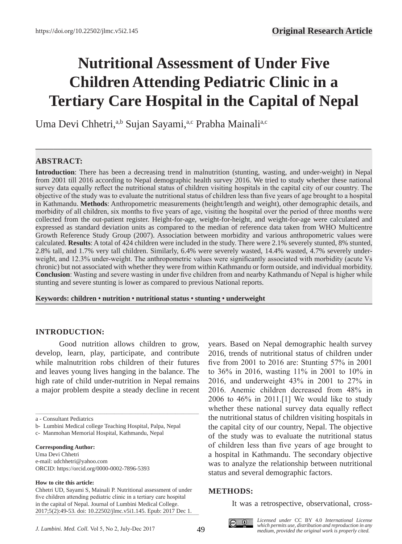# **Nutritional Assessment of Under Five Children Attending Pediatric Clinic in a Tertiary Care Hospital in the Capital of Nepal**

**—–—————————————————————————————————————————————**

Uma Devi Chhetri,<sup>a,b</sup> Sujan Sayami,<sup>a,c</sup> Prabha Mainali<sup>a,c</sup>

# **ABSTRACT:**

**Introduction**: There has been a decreasing trend in malnutrition (stunting, wasting, and under-weight) in Nepal from 2001 till 2016 according to Nepal demographic health survey 2016. We tried to study whether these national survey data equally reflect the nutritional status of children visiting hospitals in the capital city of our country. The objective of the study was to evaluate the nutritional status of children less than five years of age brought to a hospital in Kathmandu. **Methods**: Anthropometric measurements (height/length and weight), other demographic details, and morbidity of all children, six months to five years of age, visiting the hospital over the period of three months were collected from the out-patient register. Height-for-age, weight-for-height, and weight-for-age were calculated and expressed as standard deviation units as compared to the median of reference data taken from WHO Multicentre Growth Reference Study Group (2007). Association between morbidity and various anthropometric values were calculated. **Results**: A total of 424 children were included in the study. There were 2.1% severely stunted, 8% stunted, 2.8% tall, and 1.7% very tall children. Similarly, 6.4% were severely wasted, 14.4% wasted, 4.7% severely underweight, and 12.3% under-weight. The anthropometric values were significantly associated with morbidity (acute Vs chronic) but not associated with whether they were from within Kathmandu or form outside, and individual morbidity. **Conclusion**: Wasting and severe wasting in under five children from and nearby Kathmandu of Nepal is higher while stunting and severe stunting is lower as compared to previous National reports.

**Keywords: children • nutrition • nutritional status • stunting • underweight ———————————————————————————————————————————————**

# **INTRODUCTION:**

Good nutrition allows children to grow, develop, learn, play, participate, and contribute while malnutrition robs children of their futures and leaves young lives hanging in the balance. The high rate of child under-nutrition in Nepal remains a major problem despite a steady decline in recent

\_\_\_\_\_\_\_\_\_\_\_\_\_\_\_\_\_\_\_\_\_\_\_\_\_\_\_\_\_\_\_\_\_\_\_\_\_\_\_\_\_\_\_\_\_\_\_\_\_\_\_\_\_\_\_\_\_\_\_\_\_\_\_\_\_\_\_\_\_\_\_\_\_\_\_\_\_\_\_\_\_\_\_

#### **Corresponding Author:**

Uma Devi Chhetri e-mail: udchhetri@yahoo.com ORCID: https://orcid.org/0000-0002-7896-5393

#### **How to cite this article:**

years. Based on Nepal demographic health survey 2016, trends of nutritional status of children under five from 2001 to 2016 are: Stunting 57% in 2001 to 36% in 2016, wasting 11% in 2001 to 10% in 2016, and underweight 43% in 2001 to 27% in 2016. Anemic children decreased from 48% in 2006 to 46% in 2011.[1] We would like to study whether these national survey data equally reflect the nutritional status of children visiting hospitals in the capital city of our country, Nepal. The objective of the study was to evaluate the nutritional status of children less than five years of age brought to a hospital in Kathmandu. The secondary objective was to analyze the relationship between nutritional status and several demographic factors.

### **METHODS:**

It was a retrospective, observational, cross-



*Licensed under* CC BY 4.0 *International License which permits use, distribution and reproduction in any medium, provided the original work is properly cited.*

a - Consultant Pediatrics

b- Lumbini Medical college Teaching Hospital, Palpa, Nepal

c- Manmohan Memorial Hospital, Kathmandu, Nepal

Chhetri UD, Sayami S, Mainali P. Nutritional assessment of under five children attending pediatric clinic in a tertiary care hospital in the capital of Nepal. Journal of Lumbini Medical College. 2017;5(2):49-53. doi: 10.22502/jlmc.v5i1.145. Epub: 2017 Dec 1.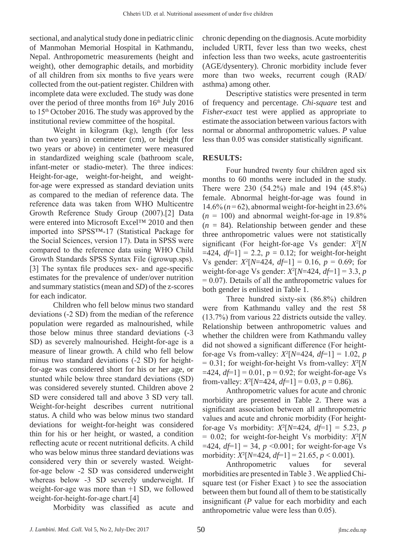sectional, and analytical study done in pediatric clinic of Manmohan Memorial Hospital in Kathmandu, Nepal. Anthropometric measurements (height and weight), other demographic details, and morbidity of all children from six months to five years were collected from the out-patient register. Children with incomplete data were excluded. The study was done over the period of three months from 16<sup>th</sup> July 2016 to  $15<sup>th</sup>$  October 2016. The study was approved by the institutional review committee of the hospital.

Weight in kilogram (kg), length (for less than two years) in centimeter (cm), or height (for two years or above) in centimeter were measured in standardized weighing scale (bathroom scale, infant-meter or stadio-meter). The three indices: Height-for-age, weight-for-height, and weightfor-age were expressed as standard deviation units as compared to the median of reference data. The reference data was taken from WHO Multicentre Growth Reference Study Group (2007).[2] Data were entered into Microsoft Excel™ 2010 and then imported into SPSS™-17 (Statistical Package for the Social Sciences, version 17). Data in SPSS were compared to the reference data using WHO Child Growth Standards SPSS Syntax File (igrowup.sps). [3] The syntax file produces sex- and age-specific estimates for the prevalence of under/over nutrition and summary statistics (mean and *SD*) of the z-scores for each indicator.

Children who fell below minus two standard deviations (-2 SD) from the median of the reference population were regarded as malnourished, while those below minus three standard deviations (-3 SD) as severely malnourished. Height-for-age is a measure of linear growth. A child who fell below minus two standard deviations (-2 SD) for heightfor-age was considered short for his or her age, or stunted while below three standard deviations (SD) was considered severely stunted. Children above 2 SD were considered tall and above 3 SD very tall. Weight-for-height describes current nutritional status. A child who was below minus two standard deviations for weight-for-height was considered thin for his or her height, or wasted, a condition reflecting acute or recent nutritional deficits. A child who was below minus three standard deviations was considered very thin or severely wasted. Weightfor-age below -2 SD was considered underweight whereas below -3 SD severely underweight. If weight-for-age was more than +1 SD, we followed weight-for-height-for-age chart.[4]

Morbidity was classified as acute and

chronic depending on the diagnosis. Acute morbidity included URTI, fever less than two weeks, chest infection less than two weeks, acute gastroenteritis (AGE/dysentery). Chronic morbidity include fever more than two weeks, recurrent cough (RAD/ asthma) among other.

Descriptive statistics were presented in term of frequency and percentage. *Chi-square* test and *Fisher-exact* test were applied as appropriate to estimate the association between various factors with normal or abnormal anthropometric values. *P* value less than 0.05 was consider statistically significant.

# **RESULTS:**

Four hundred twenty four children aged six months to 60 months were included in the study. There were 230 (54.2%) male and 194 (45.8%) female. Abnormal height-for-age was found in  $14.6\%$  ( $n = 62$ ), abnormal weight-for-height in 23.6%  $(n = 100)$  and abnormal weight-for-age in 19.8%  $(n = 84)$ . Relationship between gender and these three anthropometric values were not statistically significant (For height-for-age Vs gender: *X*<sup>2</sup> [*N*   $=424, df=1$ ] = 2.2,  $p = 0.12$ ; for weight-for-height Vs gender:  $X^2[N=424, df=1] = 0.16, p = 0.69$ ; for weight-for-age Vs gender:  $X^2[N=424, df=1] = 3.3, p$  $= 0.07$ ). Details of all the anthropometric values for both gender is enlisted in Table 1.

Three hundred sixty-six (86.8%) children were from Kathmandu valley and the rest 58 (13.7%) from various 22 districts outside the valley. Relationship between anthropometric values and whether the children were from Kathmandu valley did not showed a significant difference (For heightfor-age Vs from-valley:  $X^2[N=424, df=1] = 1.02, p$  $= 0.31$ ; for weight-for-height Vs from-valley:  $X^2[N]$  $=424, df=1$ ] = 0.01, p = 0.92; for weight-for-age Vs from-valley:  $X^2[N=424, df=1] = 0.03, p = 0.86$ .

Anthropometric values for acute and chronic morbidity are presented in Table 2. There was a significant association between all anthropometric values and acute and chronic morbidity (For heightfor-age Vs morbidity:  $X^2[N=424, df=1] = 5.23, p$  $= 0.02$ ; for weight-for-height Vs morbidity:  $X^2[N]$  $=424, df=1$ ] = 34, *p* < 0.001; for weight-for-age Vs morbidity:  $X^2[N=424, df=1] = 21.65, p < 0.001$ .

Anthropometric values for several morbidities are presented in Table 3 . We applied Chisquare test (or Fisher Exact ) to see the association between them but found all of them to be statistically insignificant (*P* value for each morbidity and each anthropometric value were less than 0.05).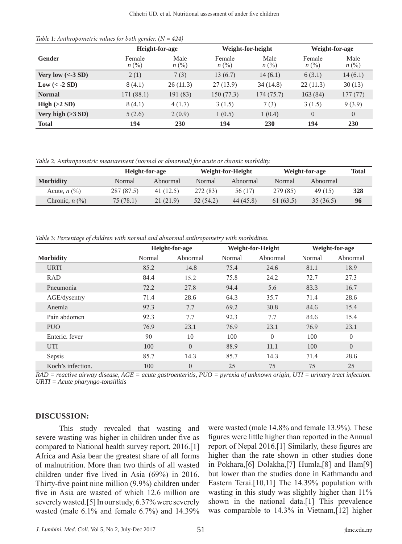## *Table* 1*: Anthropometric values for both gender. (N = 424)*

|                       | Height-for-age              |                        | Weight-for-height                     |                        | Weight-for-age              |                   |
|-----------------------|-----------------------------|------------------------|---------------------------------------|------------------------|-----------------------------|-------------------|
| Gender                | Female<br>$n(^{0}\!\!/\!o)$ | Male<br>$n(^{0}/_{0})$ | Female<br>$n(^{0}\!\!/\!\!\!\!\!\!o)$ | Male<br>$n(^{0}/_{0})$ | Female<br>$n(^{0}\!\!/\!o)$ | Male<br>$n\ (\%)$ |
| Very low $(<$ 3 SD)   | 2(1)                        | 7(3)                   | 13(6.7)                               | 14(6.1)                | 6(3.1)                      | 14(6.1)           |
| $Low \leftarrow 2 SD$ | 8(4.1)                      | 26(11.3)               | 27(13.9)                              | 34 (14.8)              | 22(11.3)                    | 30(13)            |
| <b>Normal</b>         | 171 (88.1)                  | 191 (83)               | 150(77.3)                             | 174(75.7)              | 163 (84)                    | 177(77)           |
| High $(>2 SD)$        | 8(4.1)                      | 4(1.7)                 | 3(1.5)                                | 7(3)                   | 3(1.5)                      | 9(3.9)            |
| Very high $(>3 SD)$   | 5(2.6)                      | 2(0.9)                 | 1(0.5)                                | 1(0.4)                 | $\overline{0}$              | $\overline{0}$    |
| <b>Total</b>          | 194                         | 230                    | 194                                   | 230                    | 194                         | <b>230</b>        |

*Table* 2*: Anthropometric measurement (normal or abnormal) for acute or chronic morbidity.*

|                     | Height-for-age |           | Weight-for-Height |           | Weight-for-age |           | Total |
|---------------------|----------------|-----------|-------------------|-----------|----------------|-----------|-------|
| <b>Morbidity</b>    | Normal         | Abnormal  | Normal            | Abnormal  | Normal         | Abnormal  |       |
| Acute, $n$ $(\%)$   | 287 (87.5)     | 41 (12.5) | 272 (83)          | 56 (17)   | 279 (85)       | 49 (15)   | 328   |
| Chronic, $n$ $(\%)$ | 75 (78.1)      | 21 (21.9) | 52 (54.2)         | 44 (45.8) | 61(63.5)       | 35 (36.5) | 96    |

*Table* 3*: Percentage of children with normal and abnormal anthropometry with morbidities.*

|                   |        | Height-for-age |        | Weight-for-Height |        | Weight-for-age |  |
|-------------------|--------|----------------|--------|-------------------|--------|----------------|--|
| <b>Morbidity</b>  | Normal | Abnormal       | Normal | Abnormal          | Normal | Abnormal       |  |
| <b>URTI</b>       | 85.2   | 14.8           | 75.4   | 24.6              | 81.1   | 18.9           |  |
| <b>RAD</b>        | 84.4   | 15.2           | 75.8   | 24.2              | 72.7   | 27.3           |  |
| Pneumonia         | 72.2   | 27.8           | 94.4   | 5.6               | 83.3   | 16.7           |  |
| AGE/dysentry      | 71.4   | 28.6           | 64.3   | 35.7              | 71.4   | 28.6           |  |
| Anemia            | 92.3   | 7.7            | 69.2   | 30.8              | 84.6   | 15.4           |  |
| Pain abdomen      | 92.3   | 7.7            | 92.3   | 7.7               | 84.6   | 15.4           |  |
| <b>PUO</b>        | 76.9   | 23.1           | 76.9   | 23.1              | 76.9   | 23.1           |  |
| Enteric, fever    | 90     | 10             | 100    | $\Omega$          | 100    | $\overline{0}$ |  |
| <b>UTI</b>        | 100    | $\Omega$       | 88.9   | 11.1              | 100    | $\overline{0}$ |  |
| Sepsis            | 85.7   | 14.3           | 85.7   | 14.3              | 71.4   | 28.6           |  |
| Koch's infection. | 100    | $\overline{0}$ | 25     | 75                | 75     | 25             |  |

*RAD = reactive airway disease, AGE = acute gastroenteritis, PUO = pyrexia of unknown origin, UTI = urinary tract infection. URTI = Acute pharyngo-tonsillitis*

#### **DISCUSSION:**

This study revealed that wasting and severe wasting was higher in children under five as compared to National health survey report, 2016.[1] Africa and Asia bear the greatest share of all forms of malnutrition. More than two thirds of all wasted children under five lived in Asia (69%) in 2016. Thirty-five point nine million (9.9%) children under five in Asia are wasted of which 12.6 million are severely wasted.[5] In our study, 6.37% were severely wasted (male 6.1% and female 6.7%) and 14.39%

were wasted (male 14.8% and female 13.9%). These figures were little higher than reported in the Annual report of Nepal 2016.[1] Similarly, these figures are higher than the rate shown in other studies done in Pokhara,[6] Dolakha,[7] Humla,[8] and Ilam[9] but lower than the studies done in Kathmandu and Eastern Terai.[10,11] The 14.39% population with wasting in this study was slightly higher than 11% shown in the national data.[1] This prevalence was comparable to 14.3% in Vietnam,[12] higher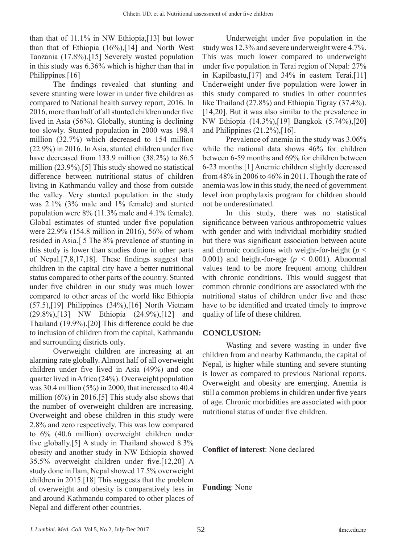than that of 11.1% in NW Ethiopia,[13] but lower than that of Ethiopia (16%),[14] and North West Tanzania (17.8%).[15] Severely wasted population in this study was 6.36% which is higher than that in Philippines.<sup>[16]</sup>

The findings revealed that stunting and severe stunting were lower in under five children as compared to National health survey report, 2016. In 2016, more than half of all stunted children under five lived in Asia (56%). Globally, stunting is declining too slowly. Stunted population in 2000 was 198.4 million (32.7%) which decreased to 154 million (22.9%) in 2016. In Asia, stunted children under five have decreased from 133.9 million (38.2%) to 86.5 million (23.9%).[5] This study showed no statistical difference between nutritional status of children living in Kathmandu valley and those from outside the valley. Very stunted population in the study was 2.1% (3% male and 1% female) and stunted population were 8% (11.3% male and 4.1% female). Global estimates of stunted under five population were 22.9% (154.8 million in 2016), 56% of whom resided in Asia.[ 5 The 8% prevalence of stunting in this study is lower than studies done in other parts of Nepal.[7,8,17,18]. These findings suggest that children in the capital city have a better nutritional status compared to other parts of the country. Stunted under five children in our study was much lower compared to other areas of the world like Ethiopia (57.5),[19] Philippines (34%),[16] North Vietnam (29.8%),[13] NW Ethiopia (24.9%),[12] and Thailand (19.9%).[20] This difference could be due to inclusion of children from the capital, Kathmandu and surrounding districts only.

Overweight children are increasing at an alarming rate globally. Almost half of all overweight children under five lived in Asia (49%) and one quarter lived in Africa (24%). Overweight population was 30.4 million (5%) in 2000, that increased to 40.4 million (6%) in 2016.[5] This study also shows that the number of overweight children are increasing. Overweight and obese children in this study were 2.8% and zero respectively. This was low compared to 6% (40.6 million) overweight children under five globally.[5] A study in Thailand showed 8.3% obesity and another study in NW Ethiopia showed 35.5% overweight children under five.[12,20] A study done in Ilam, Nepal showed 17.5% overweight children in 2015.[18] This suggests that the problem of overweight and obesity is comparatively less in and around Kathmandu compared to other places of Nepal and different other countries.

Underweight under five population in the study was 12.3% and severe underweight were 4.7%. This was much lower compared to underweight under five population in Terai region of Nepal: 27% in Kapilbastu,[17] and 34% in eastern Terai.[11] Underweight under five population were lower in this study compared to studies in other countries like Thailand (27.8%) and Ethiopia Tigray (37.4%). [14,20]. But it was also similar to the prevalence in NW Ethiopia (14.3%),[19] Bangkok (5.74%),[20] and Philippines (21.2%),[16].

Prevalence of anemia in the study was 3.06% while the national data shows 46% for children between 6-59 months and 69% for children between 6-23 months.[1] Anemic children slightly decreased from 48% in 2006 to 46% in 2011. Though the rate of anemia was low in this study, the need of government level iron prophylaxis program for children should not be underestimated.

In this study, there was no statistical significance between various anthropometric values with gender and with individual morbidity studied but there was significant association between acute and chronic conditions with weight-for-height ( $p <$ 0.001) and height-for-age ( $p < 0.001$ ). Abnormal values tend to be more frequent among children with chronic conditions. This would suggest that common chronic conditions are associated with the nutritional status of children under five and these have to be identified and treated timely to improve quality of life of these children.

# **CONCLUSION:**

Wasting and severe wasting in under five children from and nearby Kathmandu, the capital of Nepal, is higher while stunting and severe stunting is lower as compared to previous National reports. Overweight and obesity are emerging. Anemia is still a common problems in children under five years of age. Chronic morbidities are associated with poor nutritional status of under five children.

**Conflict of interest**: None declared

**Funding**: None